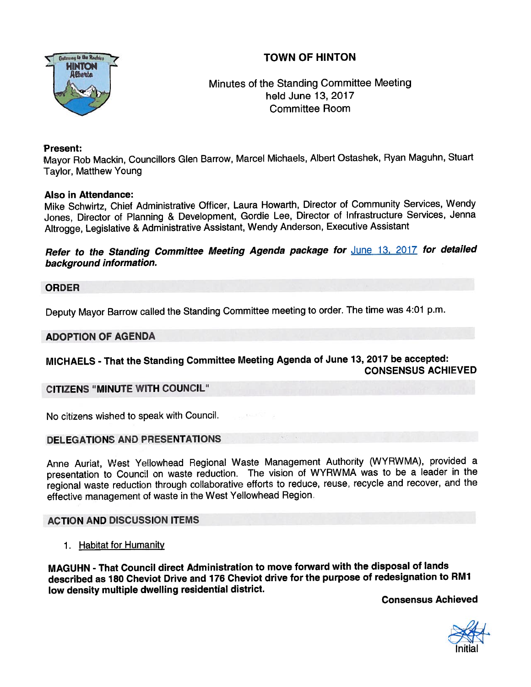# TOWN OF HINTON



# Minutes of the Standing Committee Meeting held June 13, 2017 Committee Room

#### Present:

Mayor Rob Mackin, Councillors Glen Barrow, Marcel Michaels, Albert Ostashek, Ryan Maguhn, Stuart Taylor, Matthew Young

#### Also in Attendance:

Mike Schwirtz, Chief Administrative Officer, Laura Howarth, Director of Community Services, Wendy Jones, Director of Planning & Development, Gordie Lee, Director of Infrastructure Services, Jenna Altrogge, Legislative & Administrative Assistant, Wendy Anderson, Executive Assistant

Refer to the Standing Committee Meeting Agenda package for **June 13, 2017** for detailed background information.

#### ORDER

Deputy Mayor Barrow called the Standing Committee meeting to order. The time was 4:01 p.m.

#### ADOPTION OF AGENDA

## MICHAELS - That the Standing Committee Meeting Agenda of June 13, <sup>2017</sup> be accepted: CONSENSUS ACHiEVED

#### CITIZENS "MINUTE WITH COUNCIL"

No citizens wished to speak with Council.

#### DELEGATIONS AND PRESENTATIONS

Anne Auriat, West Yellowhead Regional Waste Management Authority (WYRWMA), provided a presentation to Council on waste reduction. The vision of WYRWMA was to be a leader in the regional waste reduction through collaborative efforts to reduce, reuse, recycle and recover, and the effective managemen<sup>t</sup> of waste in the West Yellowhead Region.

## ACTION AND DISCUSSION ITEMS

1. Habitat for Humanity

MAGUHN - That Council direct Administration to move forward with the disposal of lands described as <sup>180</sup> Cheviot Drive and <sup>776</sup> Cheviot drive for the purpose of redesignation to RMJ low density multiple dwelling residential district.

Consensus Achieved